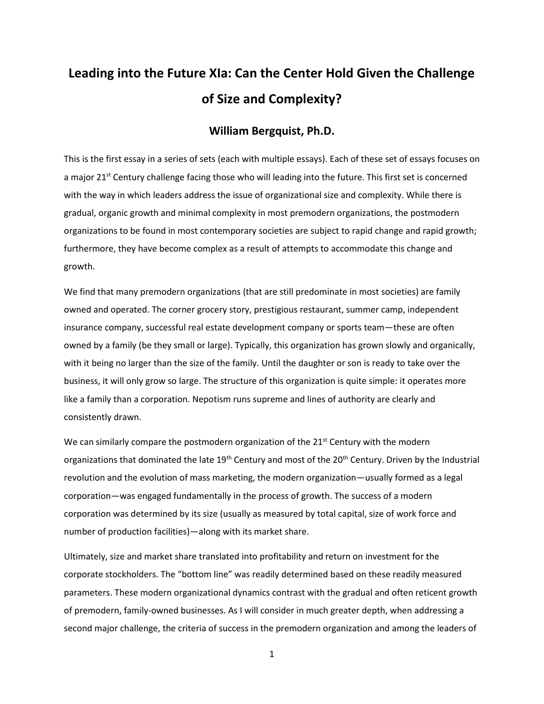# **Leading into the Future XIa: Can the Center Hold Given the Challenge of Size and Complexity?**

# **William Bergquist, Ph.D.**

This is the first essay in a series of sets (each with multiple essays). Each of these set of essays focuses on a major 21<sup>st</sup> Century challenge facing those who will leading into the future. This first set is concerned with the way in which leaders address the issue of organizational size and complexity. While there is gradual, organic growth and minimal complexity in most premodern organizations, the postmodern organizations to be found in most contemporary societies are subject to rapid change and rapid growth; furthermore, they have become complex as a result of attempts to accommodate this change and growth.

We find that many premodern organizations (that are still predominate in most societies) are family owned and operated. The corner grocery story, prestigious restaurant, summer camp, independent insurance company, successful real estate development company or sports team—these are often owned by a family (be they small or large). Typically, this organization has grown slowly and organically, with it being no larger than the size of the family. Until the daughter or son is ready to take over the business, it will only grow so large. The structure of this organization is quite simple: it operates more like a family than a corporation. Nepotism runs supreme and lines of authority are clearly and consistently drawn.

We can similarly compare the postmodern organization of the  $21<sup>st</sup>$  Century with the modern organizations that dominated the late 19<sup>th</sup> Century and most of the 20<sup>th</sup> Century. Driven by the Industrial revolution and the evolution of mass marketing, the modern organization—usually formed as a legal corporation—was engaged fundamentally in the process of growth. The success of a modern corporation was determined by its size (usually as measured by total capital, size of work force and number of production facilities)—along with its market share.

Ultimately, size and market share translated into profitability and return on investment for the corporate stockholders. The "bottom line" was readily determined based on these readily measured parameters. These modern organizational dynamics contrast with the gradual and often reticent growth of premodern, family-owned businesses. As I will consider in much greater depth, when addressing a second major challenge, the criteria of success in the premodern organization and among the leaders of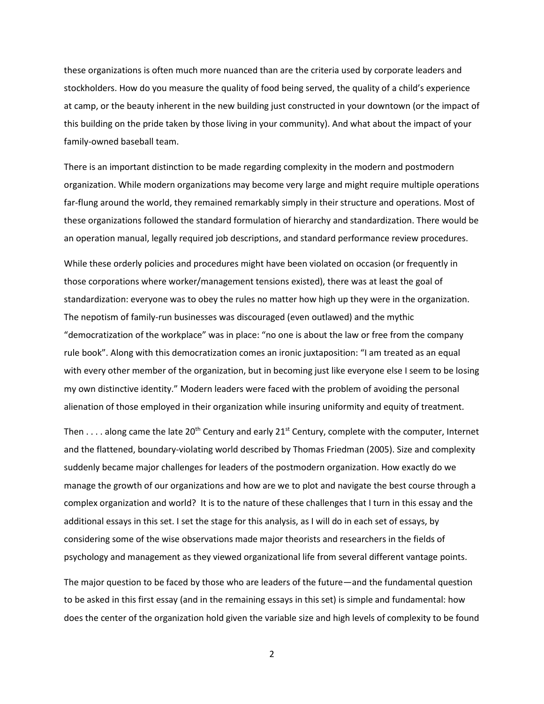these organizations is often much more nuanced than are the criteria used by corporate leaders and stockholders. How do you measure the quality of food being served, the quality of a child's experience at camp, or the beauty inherent in the new building just constructed in your downtown (or the impact of this building on the pride taken by those living in your community). And what about the impact of your family-owned baseball team.

There is an important distinction to be made regarding complexity in the modern and postmodern organization. While modern organizations may become very large and might require multiple operations far-flung around the world, they remained remarkably simply in their structure and operations. Most of these organizations followed the standard formulation of hierarchy and standardization. There would be an operation manual, legally required job descriptions, and standard performance review procedures.

While these orderly policies and procedures might have been violated on occasion (or frequently in those corporations where worker/management tensions existed), there was at least the goal of standardization: everyone was to obey the rules no matter how high up they were in the organization. The nepotism of family-run businesses was discouraged (even outlawed) and the mythic "democratization of the workplace" was in place: "no one is about the law or free from the company rule book". Along with this democratization comes an ironic juxtaposition: "I am treated as an equal with every other member of the organization, but in becoming just like everyone else I seem to be losing my own distinctive identity." Modern leaders were faced with the problem of avoiding the personal alienation of those employed in their organization while insuring uniformity and equity of treatment.

Then  $\dots$  along came the late 20<sup>th</sup> Century and early 21<sup>st</sup> Century, complete with the computer, Internet and the flattened, boundary-violating world described by Thomas Friedman (2005). Size and complexity suddenly became major challenges for leaders of the postmodern organization. How exactly do we manage the growth of our organizations and how are we to plot and navigate the best course through a complex organization and world? It is to the nature of these challenges that I turn in this essay and the additional essays in this set. I set the stage for this analysis, as I will do in each set of essays, by considering some of the wise observations made major theorists and researchers in the fields of psychology and management as they viewed organizational life from several different vantage points.

The major question to be faced by those who are leaders of the future—and the fundamental question to be asked in this first essay (and in the remaining essays in this set) is simple and fundamental: how does the center of the organization hold given the variable size and high levels of complexity to be found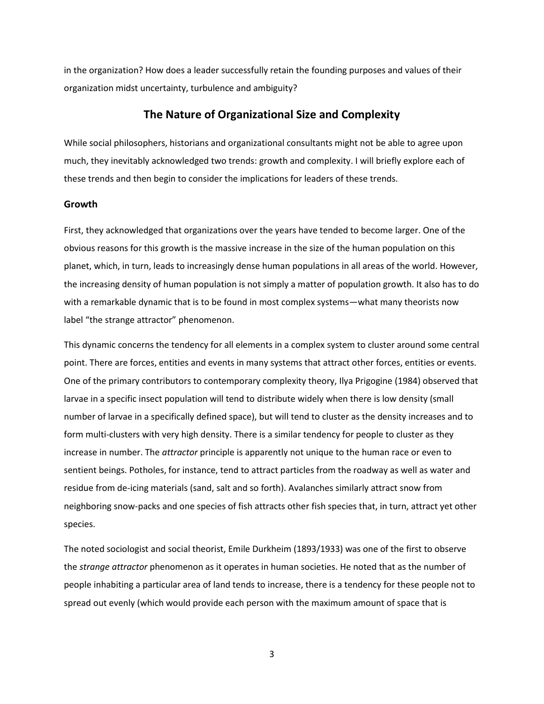in the organization? How does a leader successfully retain the founding purposes and values of their organization midst uncertainty, turbulence and ambiguity?

## **The Nature of Organizational Size and Complexity**

While social philosophers, historians and organizational consultants might not be able to agree upon much, they inevitably acknowledged two trends: growth and complexity. I will briefly explore each of these trends and then begin to consider the implications for leaders of these trends.

### **Growth**

First, they acknowledged that organizations over the years have tended to become larger. One of the obvious reasons for this growth is the massive increase in the size of the human population on this planet, which, in turn, leads to increasingly dense human populations in all areas of the world. However, the increasing density of human population is not simply a matter of population growth. It also has to do with a remarkable dynamic that is to be found in most complex systems—what many theorists now label "the strange attractor" phenomenon.

This dynamic concerns the tendency for all elements in a complex system to cluster around some central point. There are forces, entities and events in many systems that attract other forces, entities or events. One of the primary contributors to contemporary complexity theory, Ilya Prigogine (1984) observed that larvae in a specific insect population will tend to distribute widely when there is low density (small number of larvae in a specifically defined space), but will tend to cluster as the density increases and to form multi-clusters with very high density. There is a similar tendency for people to cluster as they increase in number. The *attractor* principle is apparently not unique to the human race or even to sentient beings. Potholes, for instance, tend to attract particles from the roadway as well as water and residue from de-icing materials (sand, salt and so forth). Avalanches similarly attract snow from neighboring snow-packs and one species of fish attracts other fish species that, in turn, attract yet other species.

The noted sociologist and social theorist, Emile Durkheim (1893/1933) was one of the first to observe the *strange attractor* phenomenon as it operates in human societies. He noted that as the number of people inhabiting a particular area of land tends to increase, there is a tendency for these people not to spread out evenly (which would provide each person with the maximum amount of space that is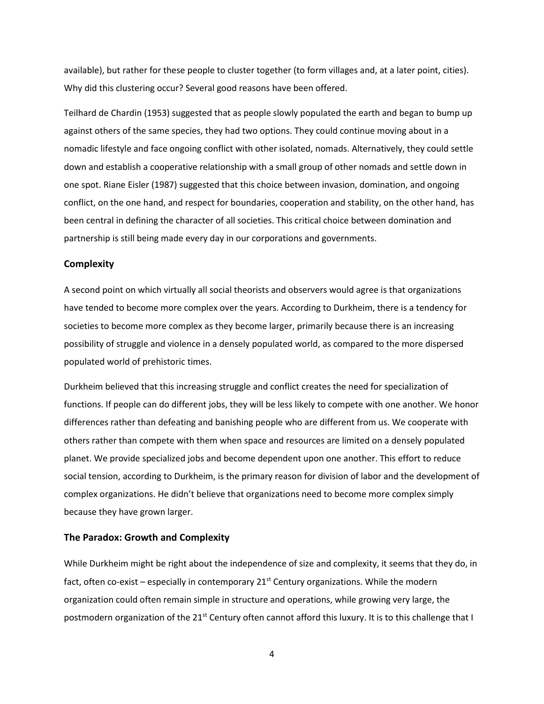available), but rather for these people to cluster together (to form villages and, at a later point, cities). Why did this clustering occur? Several good reasons have been offered.

Teilhard de Chardin (1953) suggested that as people slowly populated the earth and began to bump up against others of the same species, they had two options. They could continue moving about in a nomadic lifestyle and face ongoing conflict with other isolated, nomads. Alternatively, they could settle down and establish a cooperative relationship with a small group of other nomads and settle down in one spot. Riane Eisler (1987) suggested that this choice between invasion, domination, and ongoing conflict, on the one hand, and respect for boundaries, cooperation and stability, on the other hand, has been central in defining the character of all societies. This critical choice between domination and partnership is still being made every day in our corporations and governments.

#### **Complexity**

A second point on which virtually all social theorists and observers would agree is that organizations have tended to become more complex over the years. According to Durkheim, there is a tendency for societies to become more complex as they become larger, primarily because there is an increasing possibility of struggle and violence in a densely populated world, as compared to the more dispersed populated world of prehistoric times.

Durkheim believed that this increasing struggle and conflict creates the need for specialization of functions. If people can do different jobs, they will be less likely to compete with one another. We honor differences rather than defeating and banishing people who are different from us. We cooperate with others rather than compete with them when space and resources are limited on a densely populated planet. We provide specialized jobs and become dependent upon one another. This effort to reduce social tension, according to Durkheim, is the primary reason for division of labor and the development of complex organizations. He didn't believe that organizations need to become more complex simply because they have grown larger.

#### **The Paradox: Growth and Complexity**

While Durkheim might be right about the independence of size and complexity, it seems that they do, in fact, often co-exist – especially in contemporary  $21<sup>st</sup>$  Century organizations. While the modern organization could often remain simple in structure and operations, while growing very large, the postmodern organization of the 21<sup>st</sup> Century often cannot afford this luxury. It is to this challenge that I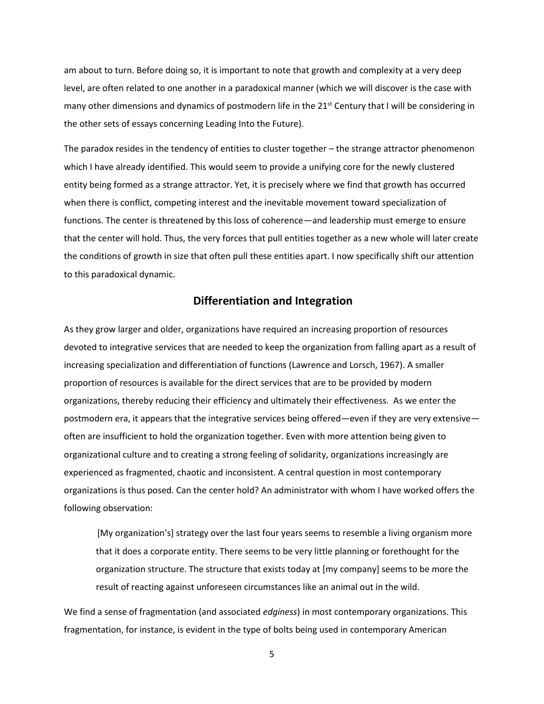am about to turn. Before doing so, it is important to note that growth and complexity at a very deep level, are often related to one another in a paradoxical manner (which we will discover is the case with many other dimensions and dynamics of postmodern life in the  $21^{st}$  Century that I will be considering in the other sets of essays concerning Leading Into the Future).

The paradox resides in the tendency of entities to cluster together – the strange attractor phenomenon which I have already identified. This would seem to provide a unifying core for the newly clustered entity being formed as a strange attractor. Yet, it is precisely where we find that growth has occurred when there is conflict, competing interest and the inevitable movement toward specialization of functions. The center is threatened by this loss of coherence—and leadership must emerge to ensure that the center will hold. Thus, the very forces that pull entities together as a new whole will later create the conditions of growth in size that often pull these entities apart. I now specifically shift our attention to this paradoxical dynamic.

## **Differentiation and Integration**

As they grow larger and older, organizations have required an increasing proportion of resources devoted to integrative services that are needed to keep the organization from falling apart as a result of increasing specialization and differentiation of functions (Lawrence and Lorsch, 1967). A smaller proportion of resources is available for the direct services that are to be provided by modern organizations, thereby reducing their efficiency and ultimately their effectiveness. As we enter the postmodern era, it appears that the integrative services being offered—even if they are very extensive often are insufficient to hold the organization together. Even with more attention being given to organizational culture and to creating a strong feeling of solidarity, organizations increasingly are experienced as fragmented, chaotic and inconsistent. A central question in most contemporary organizations is thus posed. Can the center hold? An administrator with whom I have worked offers the following observation:

 [My organization's] strategy over the last four years seems to resemble a living organism more that it does a corporate entity. There seems to be very little planning or forethought for the organization structure. The structure that exists today at [my company] seems to be more the result of reacting against unforeseen circumstances like an animal out in the wild.

We find a sense of fragmentation (and associated *edginess*) in most contemporary organizations. This fragmentation, for instance, is evident in the type of bolts being used in contemporary American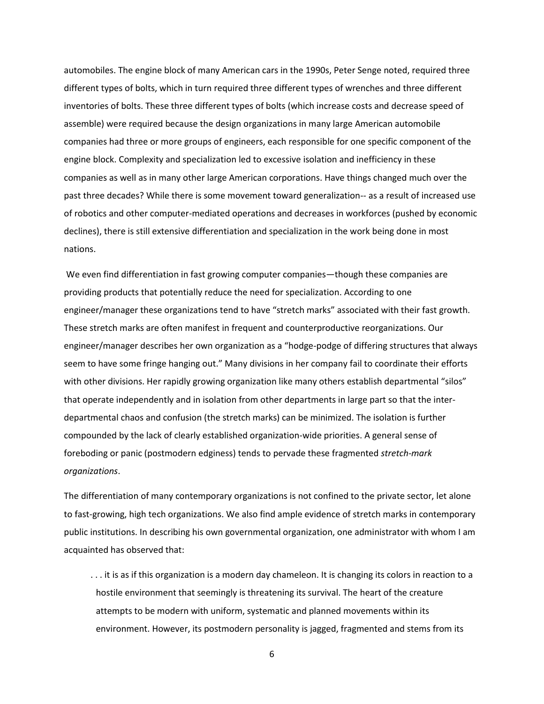automobiles. The engine block of many American cars in the 1990s, Peter Senge noted, required three different types of bolts, which in turn required three different types of wrenches and three different inventories of bolts. These three different types of bolts (which increase costs and decrease speed of assemble) were required because the design organizations in many large American automobile companies had three or more groups of engineers, each responsible for one specific component of the engine block. Complexity and specialization led to excessive isolation and inefficiency in these companies as well as in many other large American corporations. Have things changed much over the past three decades? While there is some movement toward generalization-- as a result of increased use of robotics and other computer-mediated operations and decreases in workforces (pushed by economic declines), there is still extensive differentiation and specialization in the work being done in most nations.

We even find differentiation in fast growing computer companies—though these companies are providing products that potentially reduce the need for specialization. According to one engineer/manager these organizations tend to have "stretch marks" associated with their fast growth. These stretch marks are often manifest in frequent and counterproductive reorganizations. Our engineer/manager describes her own organization as a "hodge-podge of differing structures that always seem to have some fringe hanging out." Many divisions in her company fail to coordinate their efforts with other divisions. Her rapidly growing organization like many others establish departmental "silos" that operate independently and in isolation from other departments in large part so that the interdepartmental chaos and confusion (the stretch marks) can be minimized. The isolation is further compounded by the lack of clearly established organization-wide priorities. A general sense of foreboding or panic (postmodern edginess) tends to pervade these fragmented *stretch-mark organizations*.

The differentiation of many contemporary organizations is not confined to the private sector, let alone to fast-growing, high tech organizations. We also find ample evidence of stretch marks in contemporary public institutions. In describing his own governmental organization, one administrator with whom I am acquainted has observed that:

 . . . it is as if this organization is a modern day chameleon. It is changing its colors in reaction to a hostile environment that seemingly is threatening its survival. The heart of the creature attempts to be modern with uniform, systematic and planned movements within its environment. However, its postmodern personality is jagged, fragmented and stems from its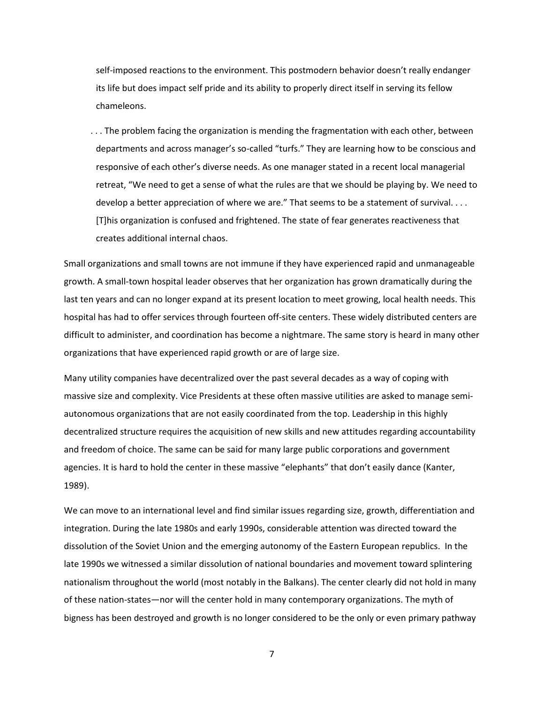self-imposed reactions to the environment. This postmodern behavior doesn't really endanger its life but does impact self pride and its ability to properly direct itself in serving its fellow chameleons.

 . . . The problem facing the organization is mending the fragmentation with each other, between departments and across manager's so-called "turfs." They are learning how to be conscious and responsive of each other's diverse needs. As one manager stated in a recent local managerial retreat, "We need to get a sense of what the rules are that we should be playing by. We need to develop a better appreciation of where we are." That seems to be a statement of survival. . . . [T]his organization is confused and frightened. The state of fear generates reactiveness that creates additional internal chaos.

Small organizations and small towns are not immune if they have experienced rapid and unmanageable growth. A small-town hospital leader observes that her organization has grown dramatically during the last ten years and can no longer expand at its present location to meet growing, local health needs. This hospital has had to offer services through fourteen off-site centers. These widely distributed centers are difficult to administer, and coordination has become a nightmare. The same story is heard in many other organizations that have experienced rapid growth or are of large size.

Many utility companies have decentralized over the past several decades as a way of coping with massive size and complexity. Vice Presidents at these often massive utilities are asked to manage semiautonomous organizations that are not easily coordinated from the top. Leadership in this highly decentralized structure requires the acquisition of new skills and new attitudes regarding accountability and freedom of choice. The same can be said for many large public corporations and government agencies. It is hard to hold the center in these massive "elephants" that don't easily dance (Kanter, 1989).

We can move to an international level and find similar issues regarding size, growth, differentiation and integration. During the late 1980s and early 1990s, considerable attention was directed toward the dissolution of the Soviet Union and the emerging autonomy of the Eastern European republics. In the late 1990s we witnessed a similar dissolution of national boundaries and movement toward splintering nationalism throughout the world (most notably in the Balkans). The center clearly did not hold in many of these nation-states—nor will the center hold in many contemporary organizations. The myth of bigness has been destroyed and growth is no longer considered to be the only or even primary pathway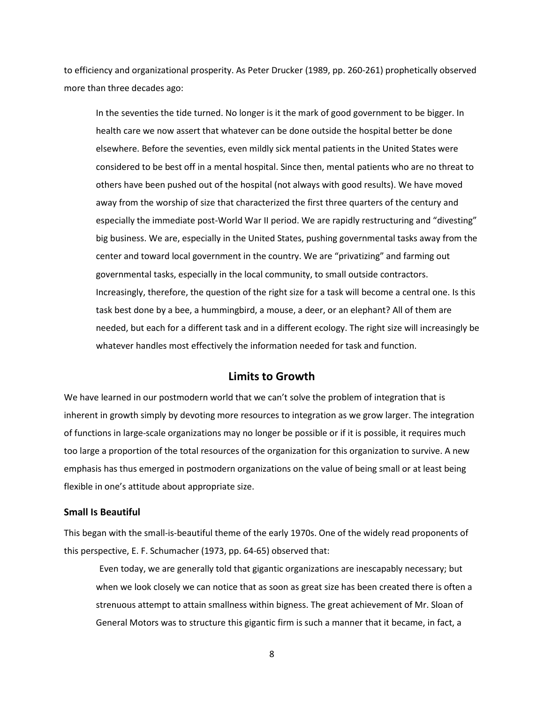to efficiency and organizational prosperity. As Peter Drucker (1989, pp. 260-261) prophetically observed more than three decades ago:

 In the seventies the tide turned. No longer is it the mark of good government to be bigger. In health care we now assert that whatever can be done outside the hospital better be done elsewhere. Before the seventies, even mildly sick mental patients in the United States were considered to be best off in a mental hospital. Since then, mental patients who are no threat to others have been pushed out of the hospital (not always with good results). We have moved away from the worship of size that characterized the first three quarters of the century and especially the immediate post-World War II period. We are rapidly restructuring and "divesting" big business. We are, especially in the United States, pushing governmental tasks away from the center and toward local government in the country. We are "privatizing" and farming out governmental tasks, especially in the local community, to small outside contractors. Increasingly, therefore, the question of the right size for a task will become a central one. Is this task best done by a bee, a hummingbird, a mouse, a deer, or an elephant? All of them are needed, but each for a different task and in a different ecology. The right size will increasingly be whatever handles most effectively the information needed for task and function.

## **Limits to Growth**

We have learned in our postmodern world that we can't solve the problem of integration that is inherent in growth simply by devoting more resources to integration as we grow larger. The integration of functions in large-scale organizations may no longer be possible or if it is possible, it requires much too large a proportion of the total resources of the organization for this organization to survive. A new emphasis has thus emerged in postmodern organizations on the value of being small or at least being flexible in one's attitude about appropriate size.

#### **Small Is Beautiful**

This began with the small-is-beautiful theme of the early 1970s. One of the widely read proponents of this perspective, E. F. Schumacher (1973, pp. 64-65) observed that:

 Even today, we are generally told that gigantic organizations are inescapably necessary; but when we look closely we can notice that as soon as great size has been created there is often a strenuous attempt to attain smallness within bigness. The great achievement of Mr. Sloan of General Motors was to structure this gigantic firm is such a manner that it became, in fact, a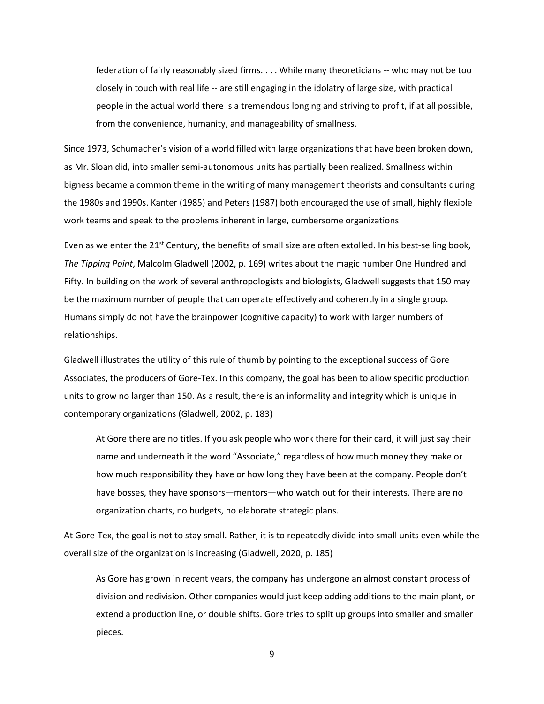federation of fairly reasonably sized firms. . . . While many theoreticians -- who may not be too closely in touch with real life -- are still engaging in the idolatry of large size, with practical people in the actual world there is a tremendous longing and striving to profit, if at all possible, from the convenience, humanity, and manageability of smallness.

Since 1973, Schumacher's vision of a world filled with large organizations that have been broken down, as Mr. Sloan did, into smaller semi-autonomous units has partially been realized. Smallness within bigness became a common theme in the writing of many management theorists and consultants during the 1980s and 1990s. Kanter (1985) and Peters (1987) both encouraged the use of small, highly flexible work teams and speak to the problems inherent in large, cumbersome organizations

Even as we enter the  $21<sup>st</sup>$  Century, the benefits of small size are often extolled. In his best-selling book, *The Tipping Point*, Malcolm Gladwell (2002, p. 169) writes about the magic number One Hundred and Fifty. In building on the work of several anthropologists and biologists, Gladwell suggests that 150 may be the maximum number of people that can operate effectively and coherently in a single group. Humans simply do not have the brainpower (cognitive capacity) to work with larger numbers of relationships.

Gladwell illustrates the utility of this rule of thumb by pointing to the exceptional success of Gore Associates, the producers of Gore-Tex. In this company, the goal has been to allow specific production units to grow no larger than 150. As a result, there is an informality and integrity which is unique in contemporary organizations (Gladwell, 2002, p. 183)

At Gore there are no titles. If you ask people who work there for their card, it will just say their name and underneath it the word "Associate," regardless of how much money they make or how much responsibility they have or how long they have been at the company. People don't have bosses, they have sponsors—mentors—who watch out for their interests. There are no organization charts, no budgets, no elaborate strategic plans.

At Gore-Tex, the goal is not to stay small. Rather, it is to repeatedly divide into small units even while the overall size of the organization is increasing (Gladwell, 2020, p. 185)

As Gore has grown in recent years, the company has undergone an almost constant process of division and redivision. Other companies would just keep adding additions to the main plant, or extend a production line, or double shifts. Gore tries to split up groups into smaller and smaller pieces.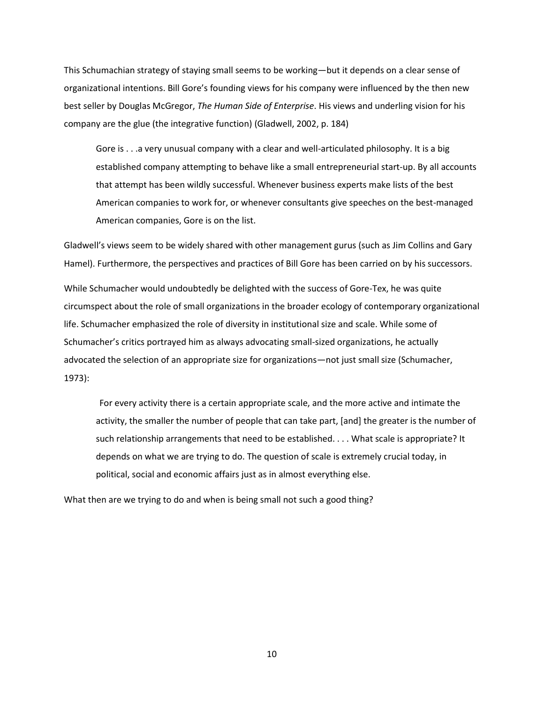This Schumachian strategy of staying small seems to be working—but it depends on a clear sense of organizational intentions. Bill Gore's founding views for his company were influenced by the then new best seller by Douglas McGregor, *The Human Side of Enterprise*. His views and underling vision for his company are the glue (the integrative function) (Gladwell, 2002, p. 184)

Gore is . . .a very unusual company with a clear and well-articulated philosophy. It is a big established company attempting to behave like a small entrepreneurial start-up. By all accounts that attempt has been wildly successful. Whenever business experts make lists of the best American companies to work for, or whenever consultants give speeches on the best-managed American companies, Gore is on the list.

Gladwell's views seem to be widely shared with other management gurus (such as Jim Collins and Gary Hamel). Furthermore, the perspectives and practices of Bill Gore has been carried on by his successors.

While Schumacher would undoubtedly be delighted with the success of Gore-Tex, he was quite circumspect about the role of small organizations in the broader ecology of contemporary organizational life. Schumacher emphasized the role of diversity in institutional size and scale. While some of Schumacher's critics portrayed him as always advocating small-sized organizations, he actually advocated the selection of an appropriate size for organizations—not just small size (Schumacher, 1973):

 For every activity there is a certain appropriate scale, and the more active and intimate the activity, the smaller the number of people that can take part, [and] the greater is the number of such relationship arrangements that need to be established. . . . What scale is appropriate? It depends on what we are trying to do. The question of scale is extremely crucial today, in political, social and economic affairs just as in almost everything else.

What then are we trying to do and when is being small not such a good thing?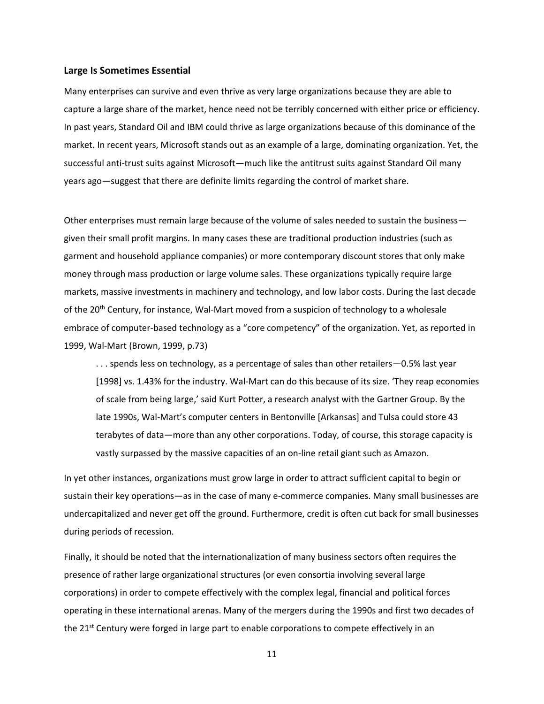#### **Large Is Sometimes Essential**

Many enterprises can survive and even thrive as very large organizations because they are able to capture a large share of the market, hence need not be terribly concerned with either price or efficiency. In past years, Standard Oil and IBM could thrive as large organizations because of this dominance of the market. In recent years, Microsoft stands out as an example of a large, dominating organization. Yet, the successful anti-trust suits against Microsoft—much like the antitrust suits against Standard Oil many years ago—suggest that there are definite limits regarding the control of market share.

Other enterprises must remain large because of the volume of sales needed to sustain the business given their small profit margins. In many cases these are traditional production industries (such as garment and household appliance companies) or more contemporary discount stores that only make money through mass production or large volume sales. These organizations typically require large markets, massive investments in machinery and technology, and low labor costs. During the last decade of the 20<sup>th</sup> Century, for instance, Wal-Mart moved from a suspicion of technology to a wholesale embrace of computer-based technology as a "core competency" of the organization. Yet, as reported in 1999, Wal-Mart (Brown, 1999, p.73)

. . . spends less on technology, as a percentage of sales than other retailers—0.5% last year [1998] vs. 1.43% for the industry. Wal-Mart can do this because of its size. 'They reap economies of scale from being large,' said Kurt Potter, a research analyst with the Gartner Group. By the late 1990s, Wal-Mart's computer centers in Bentonville [Arkansas] and Tulsa could store 43 terabytes of data—more than any other corporations. Today, of course, this storage capacity is vastly surpassed by the massive capacities of an on-line retail giant such as Amazon.

In yet other instances, organizations must grow large in order to attract sufficient capital to begin or sustain their key operations—as in the case of many e-commerce companies. Many small businesses are undercapitalized and never get off the ground. Furthermore, credit is often cut back for small businesses during periods of recession.

Finally, it should be noted that the internationalization of many business sectors often requires the presence of rather large organizational structures (or even consortia involving several large corporations) in order to compete effectively with the complex legal, financial and political forces operating in these international arenas. Many of the mergers during the 1990s and first two decades of the 21<sup>st</sup> Century were forged in large part to enable corporations to compete effectively in an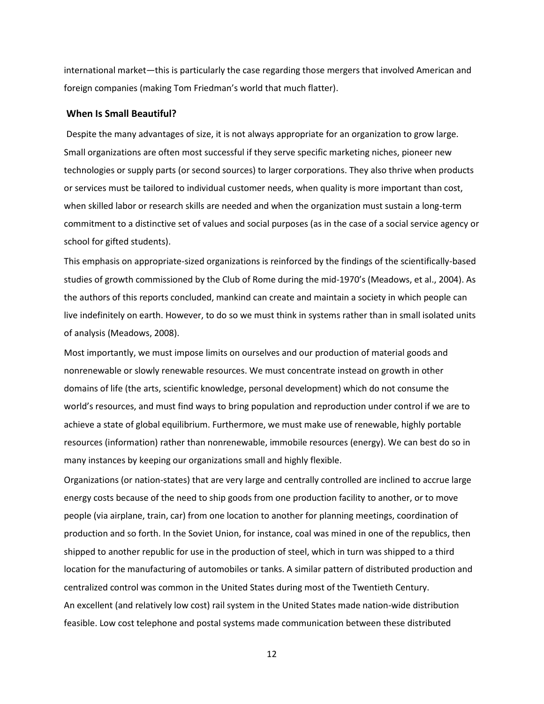international market—this is particularly the case regarding those mergers that involved American and foreign companies (making Tom Friedman's world that much flatter).

#### **When Is Small Beautiful?**

Despite the many advantages of size, it is not always appropriate for an organization to grow large. Small organizations are often most successful if they serve specific marketing niches, pioneer new technologies or supply parts (or second sources) to larger corporations. They also thrive when products or services must be tailored to individual customer needs, when quality is more important than cost, when skilled labor or research skills are needed and when the organization must sustain a long-term commitment to a distinctive set of values and social purposes (as in the case of a social service agency or school for gifted students).

This emphasis on appropriate-sized organizations is reinforced by the findings of the scientifically-based studies of growth commissioned by the Club of Rome during the mid-1970's (Meadows, et al., 2004). As the authors of this reports concluded, mankind can create and maintain a society in which people can live indefinitely on earth. However, to do so we must think in systems rather than in small isolated units of analysis (Meadows, 2008).

Most importantly, we must impose limits on ourselves and our production of material goods and nonrenewable or slowly renewable resources. We must concentrate instead on growth in other domains of life (the arts, scientific knowledge, personal development) which do not consume the world's resources, and must find ways to bring population and reproduction under control if we are to achieve a state of global equilibrium. Furthermore, we must make use of renewable, highly portable resources (information) rather than nonrenewable, immobile resources (energy). We can best do so in many instances by keeping our organizations small and highly flexible.

Organizations (or nation-states) that are very large and centrally controlled are inclined to accrue large energy costs because of the need to ship goods from one production facility to another, or to move people (via airplane, train, car) from one location to another for planning meetings, coordination of production and so forth. In the Soviet Union, for instance, coal was mined in one of the republics, then shipped to another republic for use in the production of steel, which in turn was shipped to a third location for the manufacturing of automobiles or tanks. A similar pattern of distributed production and centralized control was common in the United States during most of the Twentieth Century. An excellent (and relatively low cost) rail system in the United States made nation-wide distribution feasible. Low cost telephone and postal systems made communication between these distributed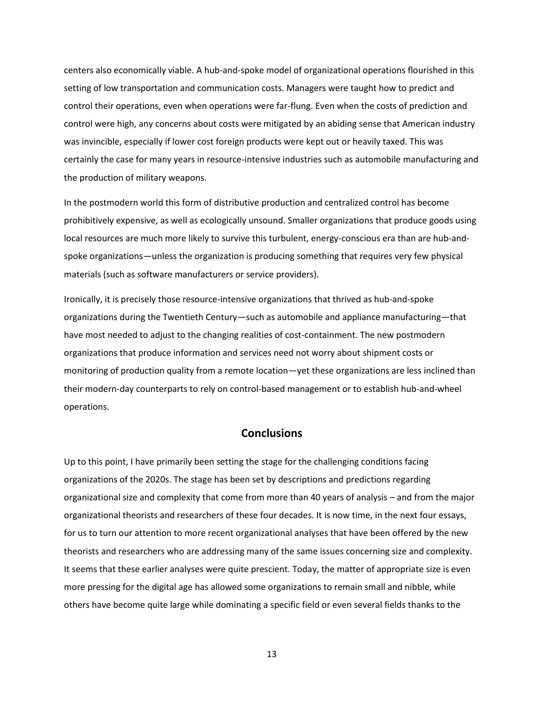centers also economically viable. A hub-and-spoke model of organizational operations flourished in this setting of low transportation and communication costs. Managers were taught how to predict and control their operations, even when operations were far-flung. Even when the costs of prediction and control were high, any concerns about costs were mitigated by an abiding sense that American industry was invincible, especially if lower cost foreign products were kept out or heavily taxed. This was certainly the case for many years in resource-intensive industries such as automobile manufacturing and the production of military weapons.

In the postmodern world this form of distributive production and centralized control has become prohibitively expensive, as well as ecologically unsound. Smaller organizations that produce goods using local resources are much more likely to survive this turbulent, energy-conscious era than are hub-andspoke organizations—unless the organization is producing something that requires very few physical materials (such as software manufacturers or service providers).

Ironically, it is precisely those resource-intensive organizations that thrived as hub-and-spoke organizations during the Twentieth Century—such as automobile and appliance manufacturing—that have most needed to adjust to the changing realities of cost-containment. The new postmodern organizations that produce information and services need not worry about shipment costs or monitoring of production quality from a remote location—yet these organizations are less inclined than their modern-day counterparts to rely on control-based management or to establish hub-and-wheel operations.

# **Conclusions**

Up to this point, I have primarily been setting the stage for the challenging conditions facing organizations of the 2020s. The stage has been set by descriptions and predictions regarding organizational size and complexity that come from more than 40 years of analysis – and from the major organizational theorists and researchers of these four decades. It is now time, in the next four essays, for us to turn our attention to more recent organizational analyses that have been offered by the new theorists and researchers who are addressing many of the same issues concerning size and complexity. It seems that these earlier analyses were quite prescient. Today, the matter of appropriate size is even more pressing for the digital age has allowed some organizations to remain small and nibble, while others have become quite large while dominating a specific field or even several fields thanks to the